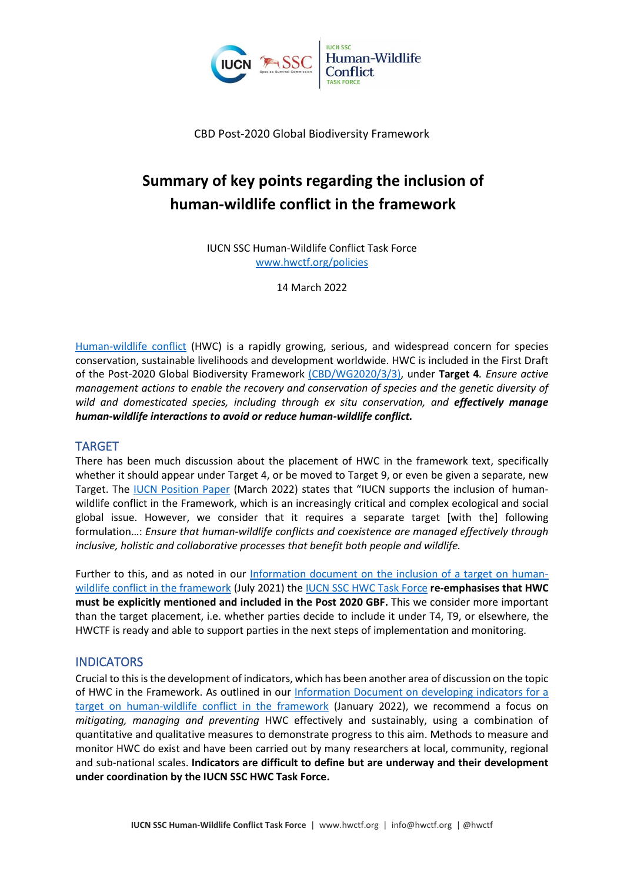

CBD Post-2020 Global Biodiversity Framework

# **Summary of key points regarding the inclusion of human-wildlife conflict in the framework**

IUCN SSC Human-Wildlife Conflict Task Force [www.hwctf.org/policies](http://www.hwctf.org/policies)

14 March 2022

[Human-wildlife conflict](http://www.hwctf.org/about) (HWC) is a rapidly growing, serious, and widespread concern for species conservation, sustainable livelihoods and development worldwide. HWC is included in the First Draft of the Post-2020 Global Biodiversity Framework [\(CBD/WG2020/3/3\),](https://www.cbd.int/doc/c/abb5/591f/2e46096d3f0330b08ce87a45/wg2020-03-03-en.pdf) under **Target 4***. Ensure active management actions to enable the recovery and conservation of species and the genetic diversity of*  wild and domesticated species, including through ex situ conservation, and **effectively manage** *human-wildlife interactions to avoid or reduce human-wildlife conflict.*

### TARGET

There has been much discussion about the placement of HWC in the framework text, specifically whether it should appear under Target 4, or be moved to Target 9, or even be given a separate, new Target. The [IUCN Position Paper](https://www.iucn.org/sites/dev/files/iucn_position_paper_resumed_cbd_sbstta24-sbi3-oewg3_.pdf) (March 2022) states that "IUCN supports the inclusion of humanwildlife conflict in the Framework, which is an increasingly critical and complex ecological and social global issue. However, we consider that it requires a separate target [with the] following formulation…: *Ensure that human-wildlife conflicts and coexistence are managed effectively through inclusive, holistic and collaborative processes that benefit both people and wildlife.*

Further to this, and as noted in our [Information document on the inclusion of a target on human](https://www.hwctf.org/_files/ugd/7acc16_647ceff2283f4fd2a8c1525ac7e3a400.pdf)[wildlife conflict in the framework](https://www.hwctf.org/_files/ugd/7acc16_647ceff2283f4fd2a8c1525ac7e3a400.pdf) (July 2021) th[e IUCN SSC HWC Task Force](http://www.hwctf.org/) **re-emphasises that HWC must be explicitly mentioned and included in the Post 2020 GBF.** This we consider more important than the target placement, i.e. whether parties decide to include it under T4, T9, or elsewhere, the HWCTF is ready and able to support parties in the next steps of implementation and monitoring.

## **INDICATORS**

Crucial to this is the development of indicators, which has been another area of discussion on the topic of HWC in the Framework. As outlined in our [Information Document on developing indicators for a](https://www.hwctf.org/_files/ugd/7acc16_7379592635484b70bb7c7959afe39603.pdf)  [target on human-wildlife conflict in the framework](https://www.hwctf.org/_files/ugd/7acc16_7379592635484b70bb7c7959afe39603.pdf) (January 2022), we recommend a focus on *mitigating, managing and preventing* HWC effectively and sustainably, using a combination of quantitative and qualitative measures to demonstrate progress to this aim. Methods to measure and monitor HWC do exist and have been carried out by many researchers at local, community, regional and sub-national scales. **Indicators are difficult to define but are underway and their development under coordination by the IUCN SSC HWC Task Force.**